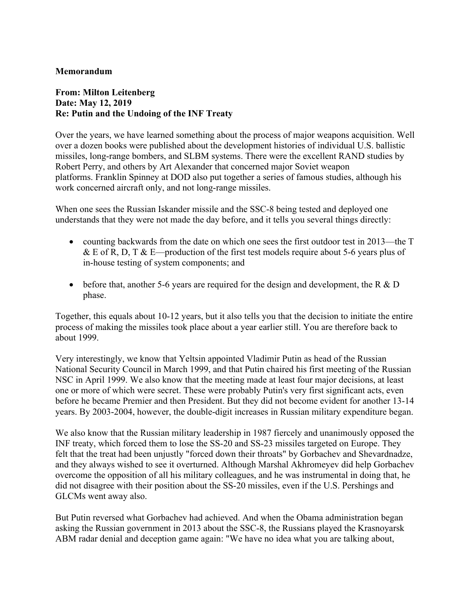## **Memorandum**

## **From: Milton Leitenberg Date: May 12, 2019 Re: Putin and the Undoing of the INF Treaty**

Over the years, we have learned something about the process of major weapons acquisition. Well over a dozen books were published about the development histories of individual U.S. ballistic missiles, long-range bombers, and SLBM systems. There were the excellent RAND studies by Robert Perry, and others by Art Alexander that concerned major Soviet weapon platforms. Franklin Spinney at DOD also put together a series of famous studies, although his work concerned aircraft only, and not long-range missiles.

When one sees the Russian Iskander missile and the SSC-8 being tested and deployed one understands that they were not made the day before, and it tells you several things directly:

- counting backwards from the date on which one sees the first outdoor test in 2013—the T & E of R, D, T & E—production of the first test models require about 5-6 years plus of in-house testing of system components; and
- before that, another 5-6 years are required for the design and development, the R  $&D$ phase.

Together, this equals about 10-12 years, but it also tells you that the decision to initiate the entire process of making the missiles took place about a year earlier still. You are therefore back to about 1999.

Very interestingly, we know that Yeltsin appointed Vladimir Putin as head of the Russian National Security Council in March 1999, and that Putin chaired his first meeting of the Russian NSC in April 1999. We also know that the meeting made at least four major decisions, at least one or more of which were secret. These were probably Putin's very first significant acts, even before he became Premier and then President. But they did not become evident for another 13-14 years. By 2003-2004, however, the double-digit increases in Russian military expenditure began.

We also know that the Russian military leadership in 1987 fiercely and unanimously opposed the INF treaty, which forced them to lose the SS-20 and SS-23 missiles targeted on Europe. They felt that the treat had been unjustly "forced down their throats" by Gorbachev and Shevardnadze, and they always wished to see it overturned. Although Marshal Akhromeyev did help Gorbachev overcome the opposition of all his military colleagues, and he was instrumental in doing that, he did not disagree with their position about the SS-20 missiles, even if the U.S. Pershings and GLCMs went away also.

But Putin reversed what Gorbachev had achieved. And when the Obama administration began asking the Russian government in 2013 about the SSC-8, the Russians played the Krasnoyarsk ABM radar denial and deception game again: "We have no idea what you are talking about,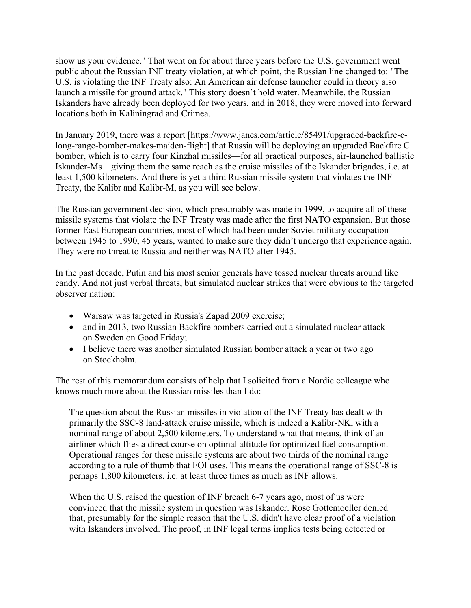show us your evidence." That went on for about three years before the U.S. government went public about the Russian INF treaty violation, at which point, the Russian line changed to: "The U.S. is violating the INF Treaty also: An American air defense launcher could in theory also launch a missile for ground attack." This story doesn't hold water. Meanwhile, the Russian Iskanders have already been deployed for two years, and in 2018, they were moved into forward locations both in Kaliningrad and Crimea.

In January 2019, there was a report [https://www.janes.com/article/85491/upgraded-backfire-clong-range-bomber-makes-maiden-flight] that Russia will be deploying an upgraded Backfire C bomber, which is to carry four Kinzhal missiles—for all practical purposes, air-launched ballistic Iskander-Ms—giving them the same reach as the cruise missiles of the Iskander brigades, i.e. at least 1,500 kilometers. And there is yet a third Russian missile system that violates the INF Treaty, the Kalibr and Kalibr-M, as you will see below.

The Russian government decision, which presumably was made in 1999, to acquire all of these missile systems that violate the INF Treaty was made after the first NATO expansion. But those former East European countries, most of which had been under Soviet military occupation between 1945 to 1990, 45 years, wanted to make sure they didn't undergo that experience again. They were no threat to Russia and neither was NATO after 1945.

In the past decade, Putin and his most senior generals have tossed nuclear threats around like candy. And not just verbal threats, but simulated nuclear strikes that were obvious to the targeted observer nation:

- Warsaw was targeted in Russia's Zapad 2009 exercise;
- and in 2013, two Russian Backfire bombers carried out a simulated nuclear attack on Sweden on Good Friday;
- I believe there was another simulated Russian bomber attack a year or two ago on Stockholm.

The rest of this memorandum consists of help that I solicited from a Nordic colleague who knows much more about the Russian missiles than I do:

The question about the Russian missiles in violation of the INF Treaty has dealt with primarily the SSC-8 land-attack cruise missile, which is indeed a Kalibr-NK, with a nominal range of about 2,500 kilometers. To understand what that means, think of an airliner which flies a direct course on optimal altitude for optimized fuel consumption. Operational ranges for these missile systems are about two thirds of the nominal range according to a rule of thumb that FOI uses. This means the operational range of SSC-8 is perhaps 1,800 kilometers. i.e. at least three times as much as INF allows.

When the U.S. raised the question of INF breach 6-7 years ago, most of us were convinced that the missile system in question was Iskander. Rose Gottemoeller denied that, presumably for the simple reason that the U.S. didn't have clear proof of a violation with Iskanders involved. The proof, in INF legal terms implies tests being detected or